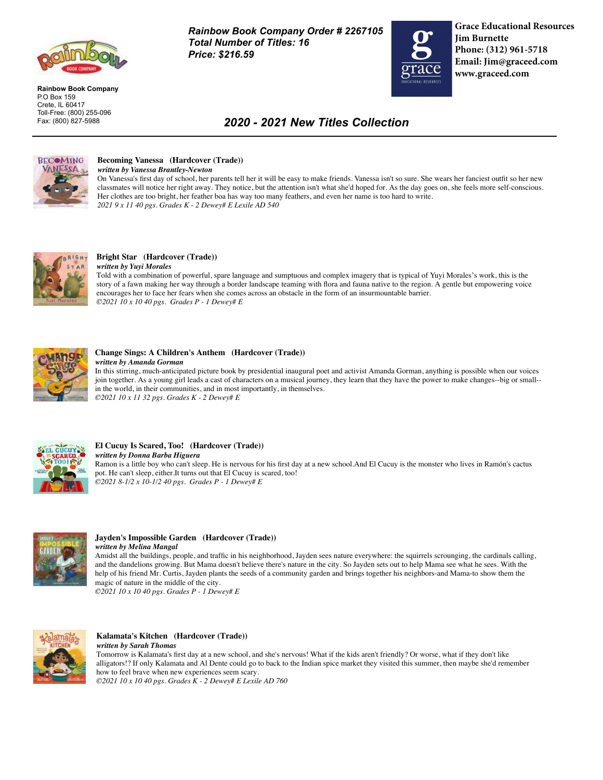

**Rainbow Book Company** P.O Box 159 Crete, IL 60417 Toll-Free: (800) 255-096 Fax: (800) 827-5988

*Rainbow Book Company Order # 2267105 Total Number of Titles: 16 Price: \$216.59*



**Grace Educational Resources Jim Burnette Phone: (312) 961-5718 Email: Jim@graceed.com www.graceed.com**

# *2020 - 2021 New Titles Collection*



#### **Becoming Vanessa (Hardcover (Trade))** *written by Vanessa Brantley-Newton*

On Vanessa's first day of school, her parents tell her it will be easy to make friends. Vanessa isn't so sure. She wears her fanciest outfit so her new classmates will notice her right away. They notice, but the attention isn't what she'd hoped for. As the day goes on, she feels more self-conscious. Her clothes are too bright, her feather boa has way too many feathers, and even her name is too hard to write. *2021 9 x 11 40 pgs. Grades K - 2 Dewey# E Lexile AD 540* 



## **Bright Star (Hardcover (Trade))**

*written by Yuyi Morales* Told with a combination of powerful, spare language and sumptuous and complex imagery that is typical of Yuyi Morales's work, this is the story of a fawn making her way through a border landscape teaming with flora and fauna native to the region. A gentle but empowering voice encourages her to face her fears when she comes across an obstacle in the form of an insurmountable barrier. *©2021 10 x 10 40 pgs. Grades P - 1 Dewey# E* 



## **Change Sings: A Children's Anthem (Hardcover (Trade))**

*written by Amanda Gorman*

In this stirring, much-anticipated picture book by presidential inaugural poet and activist Amanda Gorman, anything is possible when our voices join together. As a young girl leads a cast of characters on a musical journey, they learn that they have the power to make changes--big or small- in the world, in their communities, and in most importantly, in themselves. *©2021 10 x 11 32 pgs. Grades K - 2 Dewey# E* 



## **El Cucuy Is Scared, Too! (Hardcover (Trade))**

*written by Donna Barba Higuera* Ramon is a little boy who can't sleep. He is nervous for his first day at a new school.And El Cucuy is the monster who lives in Ramón's cactus pot. He can't sleep, either.It turns out that El Cucuy is scared, too! *©2021 8-1/2 x 10-1/2 40 pgs. Grades P - 1 Dewey# E* 



### **Jayden's Impossible Garden (Hardcover (Trade))** *written by Melina Mangal*

Amidst all the buildings, people, and traffic in his neighborhood, Jayden sees nature everywhere: the squirrels scrounging, the cardinals calling, and the dandelions growing. But Mama doesn't believe there's nature in the city. So Jayden sets out to help Mama see what he sees. With the help of his friend Mr. Curtis, Jayden plants the seeds of a community garden and brings together his neighbors-and Mama-to show them the magic of nature in the middle of the city.

*©2021 10 x 10 40 pgs. Grades P - 1 Dewey# E* 



# **Kalamata's Kitchen (Hardcover (Trade))**

*written by Sarah Thomas* Tomorrow is Kalamata's first day at a new school, and she's nervous! What if the kids aren't friendly? Or worse, what if they don't like alligators!? If only Kalamata and Al Dente could go to back to the Indian spice market they visited this summer, then maybe she'd remember how to feel brave when new experiences seem scary. *©2021 10 x 10 40 pgs. Grades K - 2 Dewey# E Lexile AD 760*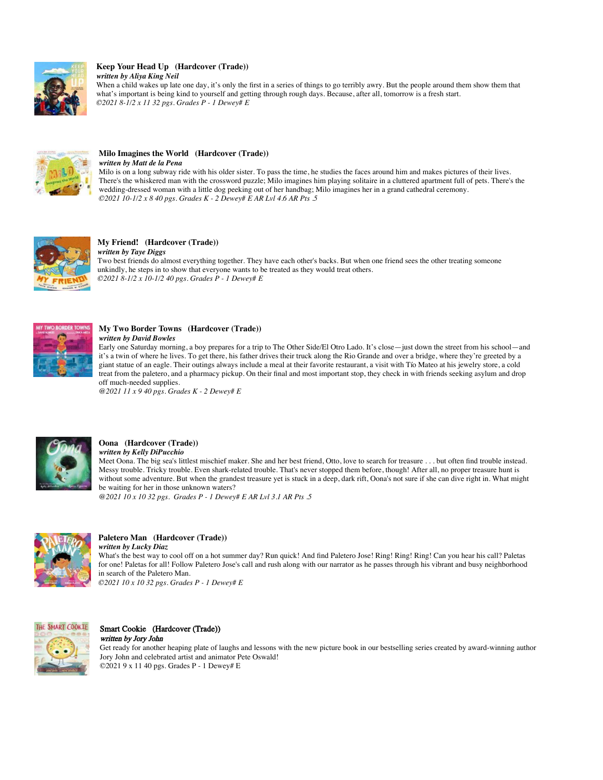

### **Keep Your Head Up (Hardcover (Trade))** *written by Aliya King Neil*

When a child wakes up late one day, it's only the first in a series of things to go terribly awry. But the people around them show them that what's important is being kind to yourself and getting through rough days. Because, after all, tomorrow is a fresh start. *©2021 8-1/2 x 11 32 pgs. Grades P - 1 Dewey# E* 



#### **Milo Imagines the World (Hardcover (Trade))** *written by Matt de la Pena*

Milo is on a long subway ride with his older sister. To pass the time, he studies the faces around him and makes pictures of their lives. There's the whiskered man with the crossword puzzle; Milo imagines him playing solitaire in a cluttered apartment full of pets. There's the wedding-dressed woman with a little dog peeking out of her handbag; Milo imagines her in a grand cathedral ceremony. *©2021 10-1/2 x 8 40 pgs. Grades K - 2 Dewey# E AR Lvl 4.6 AR Pts .5* 



#### **My Friend! (Hardcover (Trade))** *written by Taye Diggs*

Two best friends do almost everything together. They have each other's backs. But when one friend sees the other treating someone unkindly, he steps in to show that everyone wants to be treated as they would treat others. *©2021 8-1/2 x 10-1/2 40 pgs. Grades P - 1 Dewey# E* 



### **My Two Border Towns (Hardcover (Trade))** *written by David Bowles*

Early one Saturday morning, a boy prepares for a trip to The Other Side/El Otro Lado. It's close—just down the street from his school—and it's a twin of where he lives. To get there, his father drives their truck along the Rio Grande and over a bridge, where they're greeted by a giant statue of an eagle. Their outings always include a meal at their favorite restaurant, a visit with Tío Mateo at his jewelry store, a cold treat from the paletero, and a pharmacy pickup. On their final and most important stop, they check in with friends seeking asylum and drop off much-needed supplies.

@*2021 11 x 9 40 pgs. Grades K - 2 Dewey# E* 



# **Oona (Hardcover (Trade))**

*written by Kelly DiPucchio* Meet Oona. The big sea's littlest mischief maker. She and her best friend, Otto, love to search for treasure . . . but often find trouble instead. Messy trouble. Tricky trouble. Even shark-related trouble. That's never stopped them before, though! After all, no proper treasure hunt is without some adventure. But when the grandest treasure yet is stuck in a deep, dark rift, Oona's not sure if she can dive right in. What might be waiting for her in those unknown waters?

@*2021 10 x 10 32 pgs. Grades P - 1 Dewey# E AR Lvl 3.1 AR Pts .5* 



#### **Paletero Man (Hardcover (Trade))** *written by Lucky Diaz*

What's the best way to cool off on a hot summer day? Run quick! And find Paletero Jose! Ring! Ring! Ring! Can you hear his call? Paletas for one! Paletas for all! Follow Paletero Jose's call and rush along with our narrator as he passes through his vibrant and busy neighborhood in search of the Paletero Man.

*©2021 10 x 10 32 pgs. Grades P - 1 Dewey# E* 



#### Smart Cookie (Hardcover (Trade)) written by Jory John

Get ready for another heaping plate of laughs and lessons with the new picture book in our bestselling series created by award-winning author Jory John and celebrated artist and animator Pete Oswald! ©2021 9 x 11 40 pgs. Grades P - 1 Dewey# E